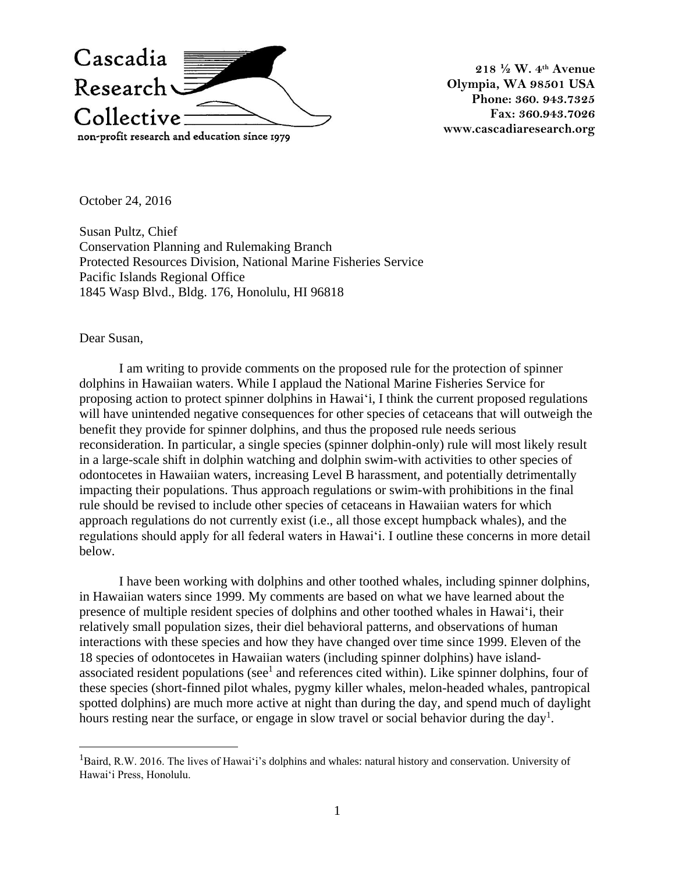

**218 ½ W. 4th Avenue Olympia, WA 98501 USA Phone: 360. 943.7325 Fax: 360.943.7026 www.cascadiaresearch.org**

October 24, 2016

Susan Pultz, Chief Conservation Planning and Rulemaking Branch Protected Resources Division, National Marine Fisheries Service Pacific Islands Regional Office 1845 Wasp Blvd., Bldg. 176, Honolulu, HI 96818

Dear Susan,

 $\overline{a}$ 

I am writing to provide comments on the proposed rule for the protection of spinner dolphins in Hawaiian waters. While I applaud the National Marine Fisheries Service for proposing action to protect spinner dolphins in Hawai'i, I think the current proposed regulations will have unintended negative consequences for other species of cetaceans that will outweigh the benefit they provide for spinner dolphins, and thus the proposed rule needs serious reconsideration. In particular, a single species (spinner dolphin-only) rule will most likely result in a large-scale shift in dolphin watching and dolphin swim-with activities to other species of odontocetes in Hawaiian waters, increasing Level B harassment, and potentially detrimentally impacting their populations. Thus approach regulations or swim-with prohibitions in the final rule should be revised to include other species of cetaceans in Hawaiian waters for which approach regulations do not currently exist (i.e., all those except humpback whales), and the regulations should apply for all federal waters in Hawai'i. I outline these concerns in more detail below.

I have been working with dolphins and other toothed whales, including spinner dolphins, in Hawaiian waters since 1999. My comments are based on what we have learned about the presence of multiple resident species of dolphins and other toothed whales in Hawai'i, their relatively small population sizes, their diel behavioral patterns, and observations of human interactions with these species and how they have changed over time since 1999. Eleven of the 18 species of odontocetes in Hawaiian waters (including spinner dolphins) have islandassociated resident populations (see<sup>1</sup> and references cited within). Like spinner dolphins, four of these species (short-finned pilot whales, pygmy killer whales, melon-headed whales, pantropical spotted dolphins) are much more active at night than during the day, and spend much of daylight hours resting near the surface, or engage in slow travel or social behavior during the day<sup>1</sup>.

<sup>1</sup>Baird, R.W. 2016. The lives of Hawai'i's dolphins and whales: natural history and conservation. University of Hawai'i Press, Honolulu.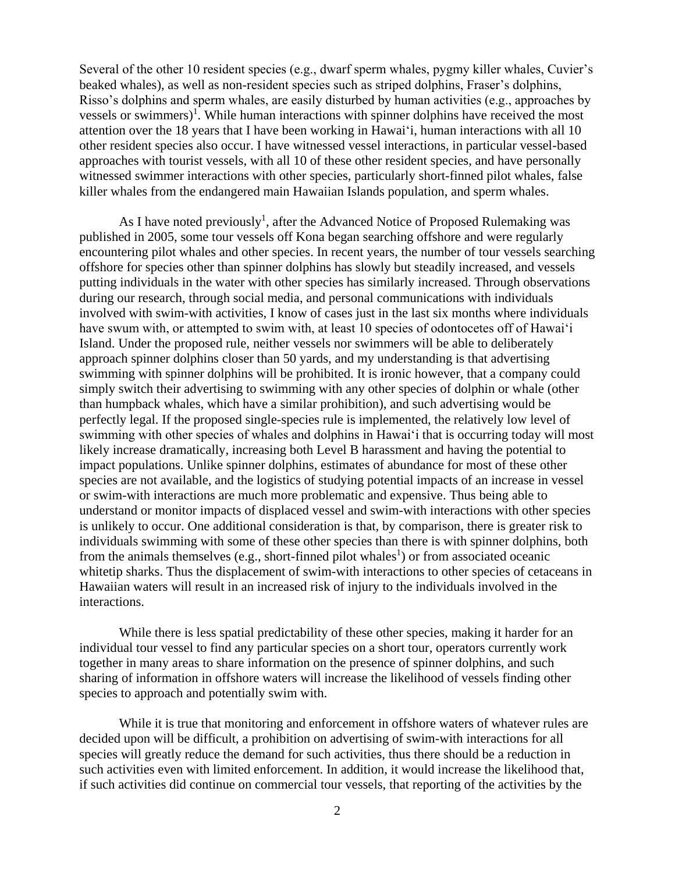Several of the other 10 resident species (e.g., dwarf sperm whales, pygmy killer whales, Cuvier's beaked whales), as well as non-resident species such as striped dolphins, Fraser's dolphins, Risso's dolphins and sperm whales, are easily disturbed by human activities (e.g., approaches by vessels or swimmers $)^1$ . While human interactions with spinner dolphins have received the most attention over the 18 years that I have been working in Hawai'i, human interactions with all 10 other resident species also occur. I have witnessed vessel interactions, in particular vessel-based approaches with tourist vessels, with all 10 of these other resident species, and have personally witnessed swimmer interactions with other species, particularly short-finned pilot whales, false killer whales from the endangered main Hawaiian Islands population, and sperm whales.

As I have noted previously<sup>1</sup>, after the Advanced Notice of Proposed Rulemaking was published in 2005, some tour vessels off Kona began searching offshore and were regularly encountering pilot whales and other species. In recent years, the number of tour vessels searching offshore for species other than spinner dolphins has slowly but steadily increased, and vessels putting individuals in the water with other species has similarly increased. Through observations during our research, through social media, and personal communications with individuals involved with swim-with activities, I know of cases just in the last six months where individuals have swum with, or attempted to swim with, at least 10 species of odontocetes off of Hawai'i Island. Under the proposed rule, neither vessels nor swimmers will be able to deliberately approach spinner dolphins closer than 50 yards, and my understanding is that advertising swimming with spinner dolphins will be prohibited. It is ironic however, that a company could simply switch their advertising to swimming with any other species of dolphin or whale (other than humpback whales, which have a similar prohibition), and such advertising would be perfectly legal. If the proposed single-species rule is implemented, the relatively low level of swimming with other species of whales and dolphins in Hawai'i that is occurring today will most likely increase dramatically, increasing both Level B harassment and having the potential to impact populations. Unlike spinner dolphins, estimates of abundance for most of these other species are not available, and the logistics of studying potential impacts of an increase in vessel or swim-with interactions are much more problematic and expensive. Thus being able to understand or monitor impacts of displaced vessel and swim-with interactions with other species is unlikely to occur. One additional consideration is that, by comparison, there is greater risk to individuals swimming with some of these other species than there is with spinner dolphins, both from the animals themselves (e.g., short-finned pilot whales<sup>1</sup>) or from associated oceanic whitetip sharks. Thus the displacement of swim-with interactions to other species of cetaceans in Hawaiian waters will result in an increased risk of injury to the individuals involved in the interactions.

While there is less spatial predictability of these other species, making it harder for an individual tour vessel to find any particular species on a short tour, operators currently work together in many areas to share information on the presence of spinner dolphins, and such sharing of information in offshore waters will increase the likelihood of vessels finding other species to approach and potentially swim with.

While it is true that monitoring and enforcement in offshore waters of whatever rules are decided upon will be difficult, a prohibition on advertising of swim-with interactions for all species will greatly reduce the demand for such activities, thus there should be a reduction in such activities even with limited enforcement. In addition, it would increase the likelihood that, if such activities did continue on commercial tour vessels, that reporting of the activities by the